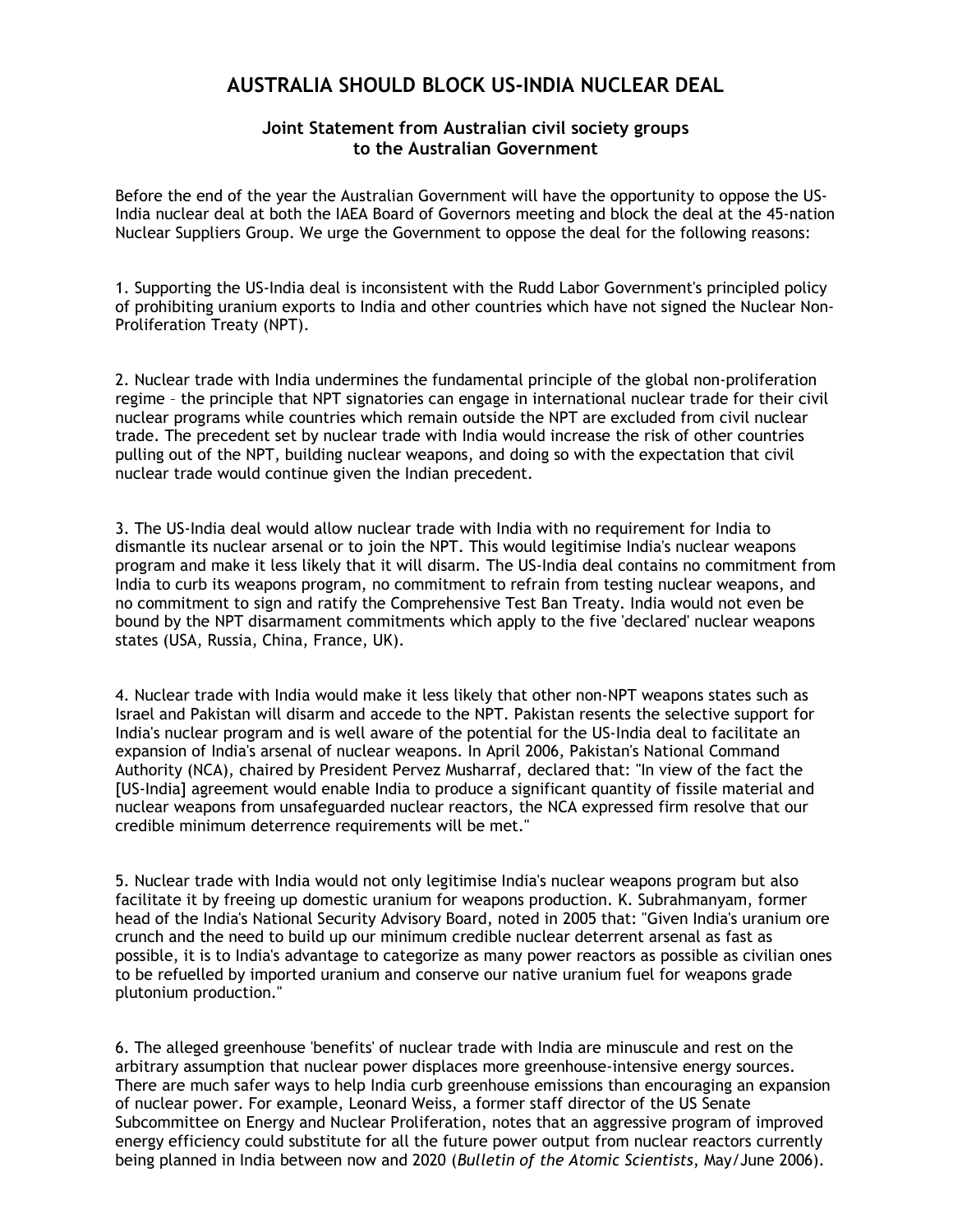## AUSTRALIA SHOULD BLOCK US-INDIA NUCLEAR DEAL

## Joint Statement from Australian civil society groups to the Australian Government

Before the end of the year the Australian Government will have the opportunity to oppose the US-India nuclear deal at both the IAEA Board of Governors meeting and block the deal at the 45-nation Nuclear Suppliers Group. We urge the Government to oppose the deal for the following reasons:

1. Supporting the US-India deal is inconsistent with the Rudd Labor Government's principled policy of prohibiting uranium exports to India and other countries which have not signed the Nuclear Non-Proliferation Treaty (NPT).

2. Nuclear trade with India undermines the fundamental principle of the global non-proliferation regime – the principle that NPT signatories can engage in international nuclear trade for their civil nuclear programs while countries which remain outside the NPT are excluded from civil nuclear trade. The precedent set by nuclear trade with India would increase the risk of other countries pulling out of the NPT, building nuclear weapons, and doing so with the expectation that civil nuclear trade would continue given the Indian precedent.

3. The US-India deal would allow nuclear trade with India with no requirement for India to dismantle its nuclear arsenal or to join the NPT. This would legitimise India's nuclear weapons program and make it less likely that it will disarm. The US-India deal contains no commitment from India to curb its weapons program, no commitment to refrain from testing nuclear weapons, and no commitment to sign and ratify the Comprehensive Test Ban Treaty. India would not even be bound by the NPT disarmament commitments which apply to the five 'declared' nuclear weapons states (USA, Russia, China, France, UK).

4. Nuclear trade with India would make it less likely that other non-NPT weapons states such as Israel and Pakistan will disarm and accede to the NPT. Pakistan resents the selective support for India's nuclear program and is well aware of the potential for the US-India deal to facilitate an expansion of India's arsenal of nuclear weapons. In April 2006, Pakistan's National Command Authority (NCA), chaired by President Pervez Musharraf, declared that: "In view of the fact the [US-India] agreement would enable India to produce a significant quantity of fissile material and nuclear weapons from unsafeguarded nuclear reactors, the NCA expressed firm resolve that our credible minimum deterrence requirements will be met."

5. Nuclear trade with India would not only legitimise India's nuclear weapons program but also facilitate it by freeing up domestic uranium for weapons production. K. Subrahmanyam, former head of the India's National Security Advisory Board, noted in 2005 that: "Given India's uranium ore crunch and the need to build up our minimum credible nuclear deterrent arsenal as fast as possible, it is to India's advantage to categorize as many power reactors as possible as civilian ones to be refuelled by imported uranium and conserve our native uranium fuel for weapons grade plutonium production."

6. The alleged greenhouse 'benefits' of nuclear trade with India are minuscule and rest on the arbitrary assumption that nuclear power displaces more greenhouse-intensive energy sources. There are much safer ways to help India curb greenhouse emissions than encouraging an expansion of nuclear power. For example, Leonard Weiss, a former staff director of the US Senate Subcommittee on Energy and Nuclear Proliferation, notes that an aggressive program of improved energy efficiency could substitute for all the future power output from nuclear reactors currently being planned in India between now and 2020 (Bulletin of the Atomic Scientists, May/June 2006).